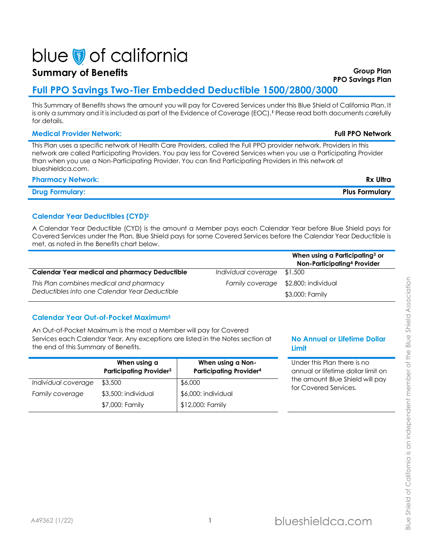# blue of california

# **Summary of Benefits Group Plan**

# **Full PPO Savings Two-Tier Embedded Deductible 1500/2800/3000**

This Summary of Benefits shows the amount you will pay for Covered Services under this Blue Shield of California Plan. It is only a summary and it is included as part of the Evidence of Coverage (EOC).**<sup>1</sup>** Please read both documents carefully for details.

# **Medical Provider Network: Full PPO Network**

This Plan uses a specific network of Health Care Providers, called the Full PPO provider network. Providers in this network are called Participating Providers. You pay less for Covered Services when you use a Participating Provider than when you use a Non-Participating Provider. You can find Participating Providers in this network at blueshieldca.com.

# **Pharmacy Network: Rx Ultra**

**Drug Formulary: Plus Formulary**

# **Calendar Year Deductibles (CYD)<sup>2</sup>**

A Calendar Year Deductible (CYD) is the amount a Member pays each Calendar Year before Blue Shield pays for Covered Services under the Plan. Blue Shield pays for some Covered Services before the Calendar Year Deductible is met, as noted in the Benefits chart below.

|                                               |                     | When using a Participating <sup>3</sup> or<br>Non-Participating <sup>4</sup> Provider |
|-----------------------------------------------|---------------------|---------------------------------------------------------------------------------------|
| Calendar Year medical and pharmacy Deductible | Individual coverage | \$1,500                                                                               |
| This Plan combines medical and pharmacy       |                     | Family coverage \$2,800: individual                                                   |
| Deductibles into one Calendar Year Deductible |                     | \$3,000: Family                                                                       |

# **Calendar Year Out-of-Pocket Maximum<sup>5</sup>**

An Out-of-Pocket Maximum is the most a Member will pay for Covered Services each Calendar Year. Any exceptions are listed in the Notes section at the end of this Summary of Benefits.

|                     | When using a<br><b>Participating Provider3</b> | When using a Non-<br><b>Participating Provider4</b> |
|---------------------|------------------------------------------------|-----------------------------------------------------|
| Individual coverage | \$3,500                                        | \$6,000                                             |
| Family coverage     | \$3,500: individual                            | \$6,000: individual                                 |
|                     | \$7,000: Family                                | \$12,000: Family                                    |

# **No Annual or Lifetime Dollar Limit**

Under this Plan there is no annual or lifetime dollar limit on the amount Blue Shield will pay for Covered Services.

Shield of California is an independent member of the Blue Shield Association Blue Shield of California is an independent member of the Blue Shield AssociationBlue:

**PPO Savings Plan**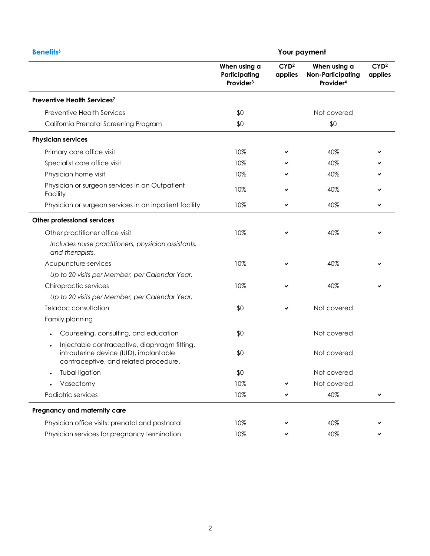|                                                                                                                                              | When using a                           |                             |                                                                   |                             |
|----------------------------------------------------------------------------------------------------------------------------------------------|----------------------------------------|-----------------------------|-------------------------------------------------------------------|-----------------------------|
|                                                                                                                                              | Participating<br>Provider <sup>3</sup> | CYD <sup>2</sup><br>applies | When using a<br><b>Non-Participating</b><br>Provider <sup>4</sup> | CYD <sup>2</sup><br>applies |
| Preventive Health Services7                                                                                                                  |                                        |                             |                                                                   |                             |
| <b>Preventive Health Services</b>                                                                                                            | \$0                                    |                             | Not covered                                                       |                             |
| California Prenatal Screening Program                                                                                                        | \$0                                    |                             | \$0                                                               |                             |
| <b>Physician services</b>                                                                                                                    |                                        |                             |                                                                   |                             |
| Primary care office visit                                                                                                                    | 10%                                    | ✔                           | 40%                                                               |                             |
| Specialist care office visit                                                                                                                 | 10%                                    |                             | 40%                                                               |                             |
| Physician home visit                                                                                                                         | 10%                                    |                             | 40%                                                               |                             |
| Physician or surgeon services in an Outpatient<br>Facility                                                                                   | 10%                                    | ✔                           | 40%                                                               |                             |
| Physician or surgeon services in an inpatient facility                                                                                       | 10%                                    | $\checkmark$                | 40%                                                               | ✔                           |
| <b>Other professional services</b>                                                                                                           |                                        |                             |                                                                   |                             |
| Other practitioner office visit                                                                                                              | 10%                                    | ✓                           | 40%                                                               |                             |
| Includes nurse practitioners, physician assistants,<br>and therapists.                                                                       |                                        |                             |                                                                   |                             |
| Acupuncture services                                                                                                                         | 10%                                    | ✓                           | 40%                                                               |                             |
| Up to 20 visits per Member, per Calendar Year.                                                                                               |                                        |                             |                                                                   |                             |
| Chiropractic services                                                                                                                        | 10%                                    | ✔                           | 40%                                                               |                             |
| Up to 20 visits per Member, per Calendar Year.                                                                                               |                                        |                             |                                                                   |                             |
| Teladoc consultation                                                                                                                         | \$0                                    | ✔                           | Not covered                                                       |                             |
| Family planning                                                                                                                              |                                        |                             |                                                                   |                             |
| Counseling, consulting, and education<br>$\bullet$                                                                                           | \$0                                    |                             | Not covered                                                       |                             |
| Injectable contraceptive, diaphragm fitting,<br>$\bullet$<br>intrauterine device (IUD), implantable<br>contraceptive, and related procedure. | \$0                                    |                             | Not covered                                                       |                             |
| Tubal ligation                                                                                                                               | \$0                                    |                             | Not covered                                                       |                             |
| Vasectomy                                                                                                                                    | 10%                                    |                             | Not covered                                                       |                             |
| Podiatric services                                                                                                                           | 10%                                    | ✔                           | 40%                                                               | ✔                           |
| Pregnancy and maternity care                                                                                                                 |                                        |                             |                                                                   |                             |
| Physician office visits: prenatal and postnatal                                                                                              | 10%                                    |                             | 40%                                                               |                             |
| Physician services for pregnancy termination                                                                                                 | 10%                                    |                             | 40%                                                               |                             |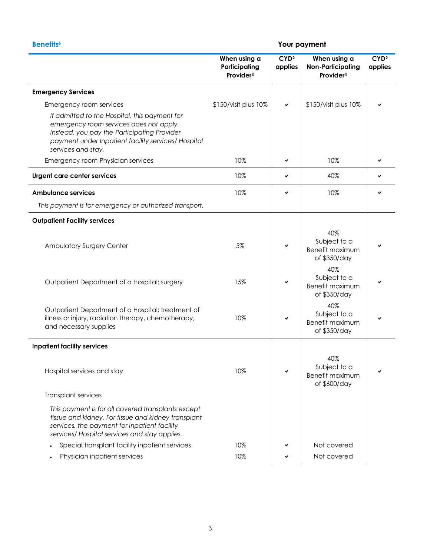|                                                                                                                                                                                                                      | When using a<br>Participating<br>Provider <sup>3</sup> | CYD <sup>2</sup><br>applies | When using a<br><b>Non-Participating</b><br>Provider <sup>4</sup> | CYD <sup>2</sup><br>applies |
|----------------------------------------------------------------------------------------------------------------------------------------------------------------------------------------------------------------------|--------------------------------------------------------|-----------------------------|-------------------------------------------------------------------|-----------------------------|
| <b>Emergency Services</b>                                                                                                                                                                                            |                                                        |                             |                                                                   |                             |
| Emergency room services                                                                                                                                                                                              | \$150/visit plus 10%                                   | $\checkmark$                | \$150/visit plus 10%                                              |                             |
| If admitted to the Hospital, this payment for<br>emergency room services does not apply.<br>Instead, you pay the Participating Provider<br>payment under Inpatient facility services/ Hospital<br>services and stay. |                                                        |                             |                                                                   |                             |
| Emergency room Physician services                                                                                                                                                                                    | 10%                                                    | ✔                           | 10%                                                               |                             |
| Urgent care center services                                                                                                                                                                                          | 10%                                                    | ✔                           | 40%                                                               | ✔                           |
| <b>Ambulance services</b>                                                                                                                                                                                            | 10%                                                    | ✔                           | 10%                                                               | ✔                           |
| This payment is for emergency or authorized transport.                                                                                                                                                               |                                                        |                             |                                                                   |                             |
| <b>Outpatient Facility services</b>                                                                                                                                                                                  |                                                        |                             |                                                                   |                             |
| Ambulatory Surgery Center                                                                                                                                                                                            | 5%                                                     | $\checkmark$                | 40%<br>Subject to a<br>Benefit maximum<br>of \$350/day            |                             |
| Outpatient Department of a Hospital: surgery                                                                                                                                                                         | 15%                                                    |                             | 40%<br>Subject to a<br>Benefit maximum<br>of \$350/day            |                             |
| Outpatient Department of a Hospital: treatment of<br>illness or injury, radiation therapy, chemotherapy,<br>and necessary supplies                                                                                   | 10%                                                    | ✓                           | 40%<br>Subject to a<br>Benefit maximum<br>of \$350/day            |                             |
| <b>Inpatient facility services</b>                                                                                                                                                                                   |                                                        |                             |                                                                   |                             |
| Hospital services and stay                                                                                                                                                                                           | 10%                                                    | ✔                           | 40%<br>Subject to a<br>Benefit maximum<br>of \$600/day            | ✔                           |
| Transplant services                                                                                                                                                                                                  |                                                        |                             |                                                                   |                             |
| This payment is for all covered transplants except<br>tissue and kidney. For tissue and kidney transplant<br>services, the payment for Inpatient facility<br>services/ Hospital services and stay applies.           |                                                        |                             |                                                                   |                             |
| Special transplant facility inpatient services                                                                                                                                                                       | 10%                                                    |                             | Not covered                                                       |                             |
| Physician inpatient services                                                                                                                                                                                         | 10%                                                    |                             | Not covered                                                       |                             |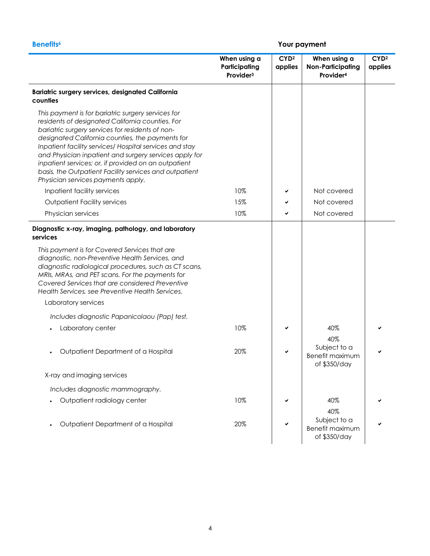|                                                                                                                                                                                                                                                                                                                                                                                                                                                                                             | When using a<br>Participating<br>Provider <sup>3</sup> | CYD <sup>2</sup><br>applies | When using a<br><b>Non-Participating</b><br>Provider <sup>4</sup> | CYD <sup>2</sup><br>applies |
|---------------------------------------------------------------------------------------------------------------------------------------------------------------------------------------------------------------------------------------------------------------------------------------------------------------------------------------------------------------------------------------------------------------------------------------------------------------------------------------------|--------------------------------------------------------|-----------------------------|-------------------------------------------------------------------|-----------------------------|
| Bariatric surgery services, designated California<br>counties                                                                                                                                                                                                                                                                                                                                                                                                                               |                                                        |                             |                                                                   |                             |
| This payment is for bariatric surgery services for<br>residents of designated California counties. For<br>bariatric surgery services for residents of non-<br>designated California counties, the payments for<br>Inpatient facility services/ Hospital services and stay<br>and Physician inpatient and surgery services apply for<br>inpatient services; or, if provided on an outpatient<br>basis, the Outpatient Facility services and outpatient<br>Physician services payments apply. |                                                        |                             |                                                                   |                             |
| Inpatient facility services                                                                                                                                                                                                                                                                                                                                                                                                                                                                 | 10%                                                    |                             | Not covered                                                       |                             |
| <b>Outpatient Facility services</b>                                                                                                                                                                                                                                                                                                                                                                                                                                                         | 15%                                                    |                             | Not covered                                                       |                             |
| Physician services                                                                                                                                                                                                                                                                                                                                                                                                                                                                          | 10%                                                    |                             | Not covered                                                       |                             |
| Diagnostic x-ray, imaging, pathology, and laboratory<br>services<br>This payment is for Covered Services that are<br>diagnostic, non-Preventive Health Services, and<br>diagnostic radiological procedures, such as CT scans,<br>MRIs, MRAs, and PET scans. For the payments for<br>Covered Services that are considered Preventive<br>Health Services, see Preventive Health Services.<br>Laboratory services                                                                              |                                                        |                             |                                                                   |                             |
| Includes diagnostic Papanicolaou (Pap) test.                                                                                                                                                                                                                                                                                                                                                                                                                                                |                                                        |                             |                                                                   |                             |
| Laboratory center                                                                                                                                                                                                                                                                                                                                                                                                                                                                           | 10%                                                    |                             | 40%<br>40%                                                        |                             |
| Outpatient Department of a Hospital                                                                                                                                                                                                                                                                                                                                                                                                                                                         | 20%                                                    |                             | Subject to a<br><b>Benefit maximum</b><br>of \$350/day            |                             |
| X-ray and imaging services                                                                                                                                                                                                                                                                                                                                                                                                                                                                  |                                                        |                             |                                                                   |                             |
| Includes diagnostic mammography.                                                                                                                                                                                                                                                                                                                                                                                                                                                            |                                                        |                             |                                                                   |                             |
| Outpatient radiology center                                                                                                                                                                                                                                                                                                                                                                                                                                                                 | 10%                                                    |                             | 40%                                                               |                             |
|                                                                                                                                                                                                                                                                                                                                                                                                                                                                                             |                                                        |                             | 40%                                                               |                             |
| Outpatient Department of a Hospital                                                                                                                                                                                                                                                                                                                                                                                                                                                         | 20%                                                    |                             | Subject to a<br>Benefit maximum<br>of \$350/day                   |                             |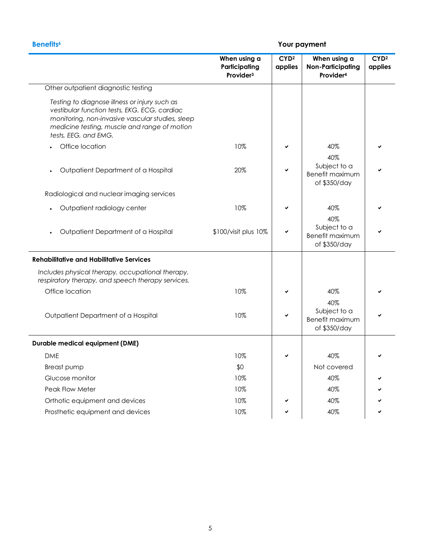|                                                                                                                                                                                                                           | When using a<br>Participating<br>Provider <sup>3</sup> | CYD <sup>2</sup><br>applies | When using a<br><b>Non-Participating</b><br>Provider <sup>4</sup> | CYD <sup>2</sup><br>applies |
|---------------------------------------------------------------------------------------------------------------------------------------------------------------------------------------------------------------------------|--------------------------------------------------------|-----------------------------|-------------------------------------------------------------------|-----------------------------|
| Other outpatient diagnostic testing                                                                                                                                                                                       |                                                        |                             |                                                                   |                             |
| Testing to diagnose illness or injury such as<br>vestibular function tests, EKG, ECG, cardiac<br>monitoring, non-invasive vascular studies, sleep<br>medicine testing, muscle and range of motion<br>tests, EEG, and EMG. |                                                        |                             |                                                                   |                             |
| Office location                                                                                                                                                                                                           | 10%                                                    |                             | 40%                                                               |                             |
| Outpatient Department of a Hospital                                                                                                                                                                                       | 20%                                                    | ✔                           | 40%<br>Subject to a<br>Benefit maximum<br>of \$350/day            |                             |
| Radiological and nuclear imaging services                                                                                                                                                                                 |                                                        |                             |                                                                   |                             |
| Outpatient radiology center                                                                                                                                                                                               | 10%                                                    | ✔                           | 40%                                                               |                             |
| Outpatient Department of a Hospital                                                                                                                                                                                       | \$100/visit plus 10%                                   |                             | 40%<br>Subject to a<br>Benefit maximum<br>of \$350/day            |                             |
| <b>Rehabilitative and Habilitative Services</b>                                                                                                                                                                           |                                                        |                             |                                                                   |                             |
| Includes physical therapy, occupational therapy,<br>respiratory therapy, and speech therapy services.                                                                                                                     |                                                        |                             |                                                                   |                             |
| Office location                                                                                                                                                                                                           | 10%                                                    | ✔                           | 40%                                                               |                             |
| Outpatient Department of a Hospital                                                                                                                                                                                       | 10%                                                    |                             | 40%<br>Subject to a<br>Benefit maximum<br>of \$350/day            |                             |
| <b>Durable medical equipment (DME)</b>                                                                                                                                                                                    |                                                        |                             |                                                                   |                             |
| <b>DME</b>                                                                                                                                                                                                                | 10%                                                    |                             | 40%                                                               |                             |
| <b>Breast pump</b>                                                                                                                                                                                                        | \$0                                                    |                             | Not covered                                                       |                             |
| Glucose monitor                                                                                                                                                                                                           | 10%                                                    |                             | 40%                                                               |                             |
| Peak Flow Meter                                                                                                                                                                                                           | 10%                                                    |                             | 40%                                                               |                             |
| Orthotic equipment and devices                                                                                                                                                                                            | 10%                                                    |                             | 40%                                                               |                             |
| Prosthetic equipment and devices                                                                                                                                                                                          | 10%                                                    |                             | 40%                                                               |                             |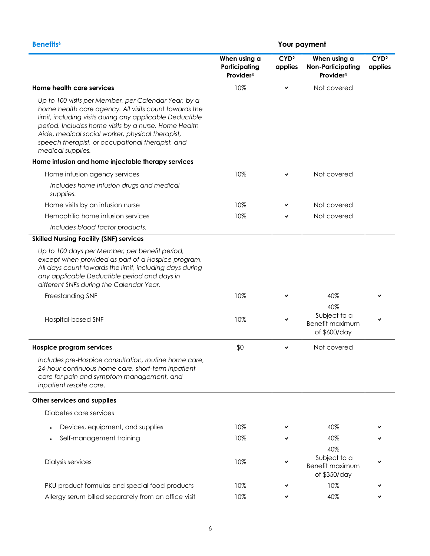|                                                                                                                                                                                                                                                                                                                                                                | When using a<br>Participating<br>Provider <sup>3</sup> | CYD <sup>2</sup><br>applies | When using a<br><b>Non-Participating</b><br>Provider <sup>4</sup> | CYD <sup>2</sup><br>applies |
|----------------------------------------------------------------------------------------------------------------------------------------------------------------------------------------------------------------------------------------------------------------------------------------------------------------------------------------------------------------|--------------------------------------------------------|-----------------------------|-------------------------------------------------------------------|-----------------------------|
| Home health care services                                                                                                                                                                                                                                                                                                                                      | 10%                                                    | ✓                           | Not covered                                                       |                             |
| Up to 100 visits per Member, per Calendar Year, by a<br>home health care agency. All visits count towards the<br>limit, including visits during any applicable Deductible<br>period. Includes home visits by a nurse, Home Health<br>Aide, medical social worker, physical therapist,<br>speech therapist, or occupational therapist, and<br>medical supplies. |                                                        |                             |                                                                   |                             |
| Home infusion and home injectable therapy services                                                                                                                                                                                                                                                                                                             |                                                        |                             |                                                                   |                             |
| Home infusion agency services                                                                                                                                                                                                                                                                                                                                  | 10%                                                    | ✓                           | Not covered                                                       |                             |
| Includes home infusion drugs and medical<br>supplies.                                                                                                                                                                                                                                                                                                          |                                                        |                             |                                                                   |                             |
| Home visits by an infusion nurse                                                                                                                                                                                                                                                                                                                               | 10%                                                    |                             | Not covered                                                       |                             |
| Hemophilia home infusion services                                                                                                                                                                                                                                                                                                                              | 10%                                                    |                             | Not covered                                                       |                             |
| Includes blood factor products.                                                                                                                                                                                                                                                                                                                                |                                                        |                             |                                                                   |                             |
| <b>Skilled Nursing Facility (SNF) services</b>                                                                                                                                                                                                                                                                                                                 |                                                        |                             |                                                                   |                             |
| Up to 100 days per Member, per benefit period,<br>except when provided as part of a Hospice program.<br>All days count towards the limit, including days during<br>any applicable Deductible period and days in<br>different SNFs during the Calendar Year.                                                                                                    |                                                        |                             |                                                                   |                             |
| Freestanding SNF                                                                                                                                                                                                                                                                                                                                               | 10%                                                    |                             | 40%                                                               |                             |
| Hospital-based SNF                                                                                                                                                                                                                                                                                                                                             | 10%                                                    |                             | 40%<br>Subject to a<br>Benefit maximum<br>of \$600/day            |                             |
| <b>Hospice program services</b>                                                                                                                                                                                                                                                                                                                                | \$0                                                    | ✓                           | Not covered                                                       |                             |
| Includes pre-Hospice consultation, routine home care,<br>24-hour continuous home care, short-term inpatient<br>care for pain and symptom management, and<br>inpatient respite care.                                                                                                                                                                            |                                                        |                             |                                                                   |                             |
| Other services and supplies                                                                                                                                                                                                                                                                                                                                    |                                                        |                             |                                                                   |                             |
| Diabetes care services                                                                                                                                                                                                                                                                                                                                         |                                                        |                             |                                                                   |                             |
| Devices, equipment, and supplies                                                                                                                                                                                                                                                                                                                               | 10%                                                    |                             | 40%                                                               |                             |
| Self-management training                                                                                                                                                                                                                                                                                                                                       | 10%                                                    |                             | 40%                                                               |                             |
| Dialysis services                                                                                                                                                                                                                                                                                                                                              | 10%                                                    |                             | 40%<br>Subject to a<br>Benefit maximum<br>of \$350/day            |                             |
| PKU product formulas and special food products                                                                                                                                                                                                                                                                                                                 | 10%                                                    |                             | 10%                                                               |                             |
| Allergy serum billed separately from an office visit                                                                                                                                                                                                                                                                                                           | 10%                                                    |                             | 40%                                                               |                             |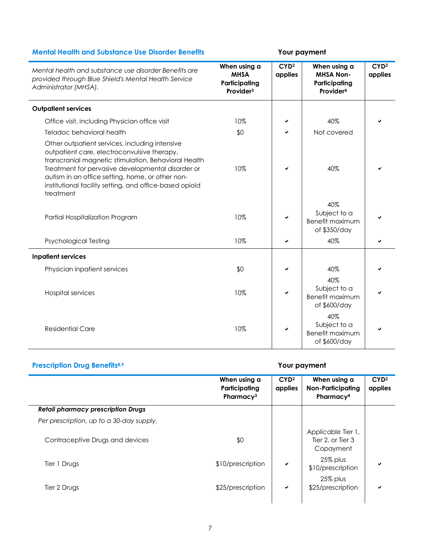# **Mental Health and Substance Use Disorder Benefits Your payment**

| Mental health and substance use disorder Benefits are<br>provided through Blue Shield's Mental Health Service<br>Administrator (MHSA).                                                                                                                                                                                                 | When using a<br><b>MHSA</b><br>Participating<br>Provider <sup>3</sup> | CYD <sup>2</sup><br>applies | When using a<br><b>MHSA Non-</b><br>Participating<br>Provider <sup>4</sup> | CYD <sup>2</sup><br>applies |
|----------------------------------------------------------------------------------------------------------------------------------------------------------------------------------------------------------------------------------------------------------------------------------------------------------------------------------------|-----------------------------------------------------------------------|-----------------------------|----------------------------------------------------------------------------|-----------------------------|
| <b>Outpatient services</b>                                                                                                                                                                                                                                                                                                             |                                                                       |                             |                                                                            |                             |
| Office visit, including Physician office visit                                                                                                                                                                                                                                                                                         | 10%                                                                   | ✔                           | 40%                                                                        |                             |
| Teladoc behavioral health                                                                                                                                                                                                                                                                                                              | \$0                                                                   | ✔                           | Not covered                                                                |                             |
| Other outpatient services, including intensive<br>outpatient care, electroconvulsive therapy,<br>transcranial magnetic stimulation, Behavioral Health<br>Treatment for pervasive developmental disorder or<br>autism in an office setting, home, or other non-<br>institutional facility setting, and office-based opioid<br>treatment | 10%                                                                   | ✓                           | 40%                                                                        |                             |
| Partial Hospitalization Program                                                                                                                                                                                                                                                                                                        | 10%                                                                   |                             | 40%<br>Subject to a<br><b>Benefit maximum</b><br>of \$350/day              |                             |
| <b>Psychological Testing</b>                                                                                                                                                                                                                                                                                                           | 10%                                                                   |                             | 40%                                                                        |                             |
| <b>Inpatient services</b>                                                                                                                                                                                                                                                                                                              |                                                                       |                             |                                                                            |                             |
| Physician inpatient services                                                                                                                                                                                                                                                                                                           | \$0                                                                   | ✔                           | 40%                                                                        |                             |
| <b>Hospital services</b>                                                                                                                                                                                                                                                                                                               | 10%                                                                   |                             | 40%<br>Subject to a<br>Benefit maximum<br>of \$600/day                     |                             |
| <b>Residential Care</b>                                                                                                                                                                                                                                                                                                                | 10%                                                                   |                             | 40%<br>Subject to a<br>Benefit maximum<br>of \$600/day                     |                             |

# **Prescription Drug Benefits8,9 Your payment**

|                                           | When using a<br>Participating<br>Pharmacy <sup>3</sup> | CYD <sup>2</sup><br>applies | When using a<br><b>Non-Participating</b><br>Pharmacy <sup>4</sup> | CYD <sup>2</sup><br>applies |
|-------------------------------------------|--------------------------------------------------------|-----------------------------|-------------------------------------------------------------------|-----------------------------|
| <b>Retail pharmacy prescription Drugs</b> |                                                        |                             |                                                                   |                             |
| Per prescription, up to a 30-day supply.  |                                                        |                             |                                                                   |                             |
| Contraceptive Drugs and devices           | \$0                                                    |                             | Applicable Tier 1,<br>Tier 2, or Tier 3<br>Copayment              |                             |
| Tier 1 Drugs                              | \$10/prescription                                      | ✔                           | 25% plus<br>\$10/prescription                                     | ✔                           |
| Tier 2 Drugs                              | \$25/prescription                                      | ✔                           | 25% plus<br>\$25/prescription                                     | ✔                           |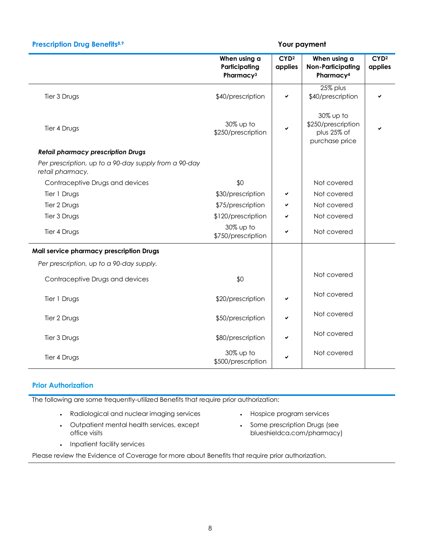|                                                                           | When using a<br>Participating<br>Pharmacy <sup>3</sup> | CYD <sup>2</sup><br>applies | When using a<br><b>Non-Participating</b><br>Pharmacy <sup>4</sup> | CYD <sup>2</sup><br>applies |
|---------------------------------------------------------------------------|--------------------------------------------------------|-----------------------------|-------------------------------------------------------------------|-----------------------------|
| Tier 3 Drugs                                                              | \$40/prescription                                      | ✔                           | 25% plus<br>\$40/prescription                                     |                             |
| Tier 4 Drugs                                                              | 30% up to<br>\$250/prescription                        | ✔                           | 30% up to<br>\$250/prescription<br>plus 25% of<br>purchase price  |                             |
| <b>Retail pharmacy prescription Drugs</b>                                 |                                                        |                             |                                                                   |                             |
| Per prescription, up to a 90-day supply from a 90-day<br>retail pharmacy. |                                                        |                             |                                                                   |                             |
| Contraceptive Drugs and devices                                           | \$0                                                    |                             | Not covered                                                       |                             |
| Tier 1 Drugs                                                              | \$30/prescription                                      | ✔                           | Not covered                                                       |                             |
| Tier 2 Drugs                                                              | \$75/prescription                                      | ✔                           | Not covered                                                       |                             |
| Tier 3 Drugs                                                              | \$120/prescription                                     | ✔                           | Not covered                                                       |                             |
| Tier 4 Drugs                                                              | 30% up to<br>\$750/prescription                        | ✔                           | Not covered                                                       |                             |
| Mail service pharmacy prescription Drugs                                  |                                                        |                             |                                                                   |                             |
| Per prescription, up to a 90-day supply.                                  |                                                        |                             |                                                                   |                             |
| Contraceptive Drugs and devices                                           | \$0                                                    |                             | Not covered                                                       |                             |
| Tier 1 Drugs                                                              | \$20/prescription                                      | ✔                           | Not covered                                                       |                             |
| Tier 2 Drugs                                                              | \$50/prescription                                      | ✔                           | Not covered                                                       |                             |
| Tier 3 Drugs                                                              | \$80/prescription                                      | ✓                           | Not covered                                                       |                             |
| Tier 4 Drugs                                                              | 30% up to<br>\$500/prescription                        |                             | Not covered                                                       |                             |

**Prescription Drug Benefits8,9 Your payment**

# **Prior Authorization**

The following are some frequently-utilized Benefits that require prior authorization:

- Radiological and nuclear imaging services Hospice program services
- Outpatient mental health services, except office visits
- 
- Some prescription Drugs (see blueshieldca.com/pharmacy)

• Inpatient facility services

Please review the Evidence of Coverage for more about Benefits that require prior authorization.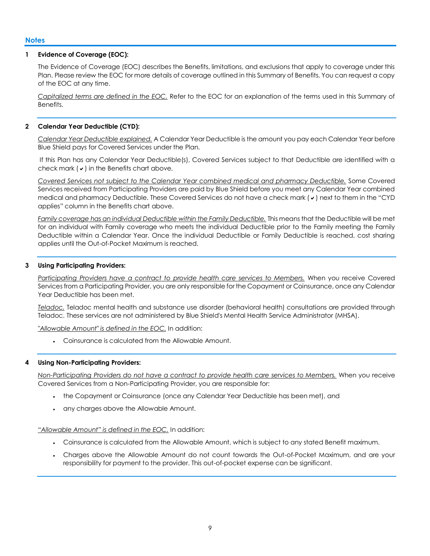# **1 Evidence of Coverage (EOC):**

The Evidence of Coverage (EOC) describes the Benefits, limitations, and exclusions that apply to coverage under this Plan. Please review the EOC for more details of coverage outlined in this Summary of Benefits. You can request a copy of the EOC at any time.

*Capitalized terms are defined in the EOC.* Refer to the EOC for an explanation of the terms used in this Summary of Benefits.

# **2 Calendar Year Deductible (CYD):**

*Calendar Year Deductible explained.* A Calendar Year Deductible is the amount you pay each Calendar Year before Blue Shield pays for Covered Services under the Plan.

If this Plan has any Calendar Year Deductible(s), Covered Services subject to that Deductible are identified with a check mark  $(v)$  in the Benefits chart above.

*Covered Services not subject to the Calendar Year combined medical and pharmacy Deductible.* Some Covered Services received from Participating Providers are paid by Blue Shield before you meet any Calendar Year combined medical and pharmacy Deductible. These Covered Services do not have a check mark  $(v)$  next to them in the "CYD" applies" column in the Benefits chart above.

*Family coverage has an individual Deductible within the Family Deductible.* This means that the Deductible will be met for an individual with Family coverage who meets the individual Deductible prior to the Family meeting the Family Deductible within a Calendar Year. Once the individual Deductible or Family Deductible is reached, cost sharing applies until the Out-of-Pocket Maximum is reached.

# **3 Using Participating Providers:**

*Participating Providers have a contract to provide health care services to Members.* When you receive Covered Services from a Participating Provider, you are only responsible for the Copayment or Coinsurance, once any Calendar Year Deductible has been met.

*Teladoc.* Teladoc mental health and substance use disorder (behavioral health) consultations are provided through Teladoc. These services are not administered by Blue Shield's Mental Health Service Administrator (MHSA).

*"Allowable Amount" is defined in the EOC.* In addition:

Coinsurance is calculated from the Allowable Amount.

# **4 Using Non-Participating Providers:**

*Non-Participating Providers do not have a contract to provide health care services to Members.* When you receive Covered Services from a Non-Participating Provider, you are responsible for:

- the Copayment or Coinsurance (once any Calendar Year Deductible has been met), and
- any charges above the Allowable Amount.

#### *"Allowable Amount" is defined in the EOC.* In addition:

- Coinsurance is calculated from the Allowable Amount, which is subject to any stated Benefit maximum.
- Charges above the Allowable Amount do not count towards the Out-of-Pocket Maximum, and are your responsibility for payment to the provider. This out-of-pocket expense can be significant.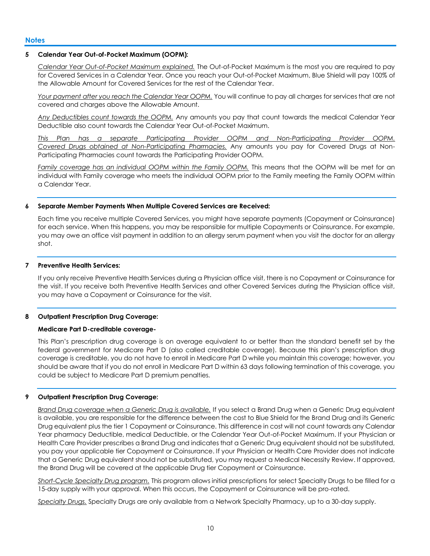### **5 Calendar Year Out-of-Pocket Maximum (OOPM):**

*Calendar Year Out-of-Pocket Maximum explained.* The Out-of-Pocket Maximum is the most you are required to pay for Covered Services in a Calendar Year. Once you reach your Out-of-Pocket Maximum, Blue Shield will pay 100% of the Allowable Amount for Covered Services for the rest of the Calendar Year.

*Your payment after you reach the Calendar Year OOPM.* You will continue to pay all charges for services that are not covered and charges above the Allowable Amount.

*Any Deductibles count towards the OOPM.* Any amounts you pay that count towards the medical Calendar Year Deductible also count towards the Calendar Year Out-of-Pocket Maximum.

*This Plan has a separate Participating Provider OOPM and Non-Participating Provider OOPM. Covered Drugs obtained at Non-Participating Pharmacies.* Any amounts you pay for Covered Drugs at Non-Participating Pharmacies count towards the Participating Provider OOPM.

*Family coverage has an individual OOPM within the Family OOPM.* This means that the OOPM will be met for an individual with Family coverage who meets the individual OOPM prior to the Family meeting the Family OOPM within a Calendar Year.

#### **6 Separate Member Payments When Multiple Covered Services are Received:**

Each time you receive multiple Covered Services, you might have separate payments (Copayment or Coinsurance) for each service. When this happens, you may be responsible for multiple Copayments or Coinsurance. For example, you may owe an office visit payment in addition to an allergy serum payment when you visit the doctor for an allergy shot.

### **7 Preventive Health Services:**

If you only receive Preventive Health Services during a Physician office visit, there is no Copayment or Coinsurance for the visit. If you receive both Preventive Health Services and other Covered Services during the Physician office visit, you may have a Copayment or Coinsurance for the visit.

#### **8 Outpatient Prescription Drug Coverage:**

#### **Medicare Part D-creditable coverage-**

This Plan's prescription drug coverage is on average equivalent to or better than the standard benefit set by the federal government for Medicare Part D (also called creditable coverage). Because this plan's prescription drug coverage is creditable, you do not have to enroll in Medicare Part D while you maintain this coverage; however, you should be aware that if you do not enroll in Medicare Part D within 63 days following termination of this coverage, you could be subject to Medicare Part D premium penalties.

# **9 Outpatient Prescription Drug Coverage:**

*Brand Drug coverage when a Generic Drug is available.* If you select a Brand Drug when a Generic Drug equivalent is available, you are responsible for the difference between the cost to Blue Shield for the Brand Drug and its Generic Drug equivalent plus the tier 1 Copayment or Coinsurance. This difference in cost will not count towards any Calendar Year pharmacy Deductible, medical Deductible, or the Calendar Year Out-of-Pocket Maximum. If your Physician or Health Care Provider prescribes a Brand Drug and indicates that a Generic Drug equivalent should not be substituted, you pay your applicable tier Copayment or Coinsurance. If your Physician or Health Care Provider does not indicate that a Generic Drug equivalent should not be substituted, you may request a Medical Necessity Review. If approved, the Brand Drug will be covered at the applicable Drug tier Copayment or Coinsurance.

*Short-Cycle Specialty Drug program.* This program allows initial prescriptions for select Specialty Drugs to be filled for a 15-day supply with your approval. When this occurs, the Copayment or Coinsurance will be pro-rated.

*Specialty Drugs.* Specialty Drugs are only available from a Network Specialty Pharmacy, up to a 30-day supply.